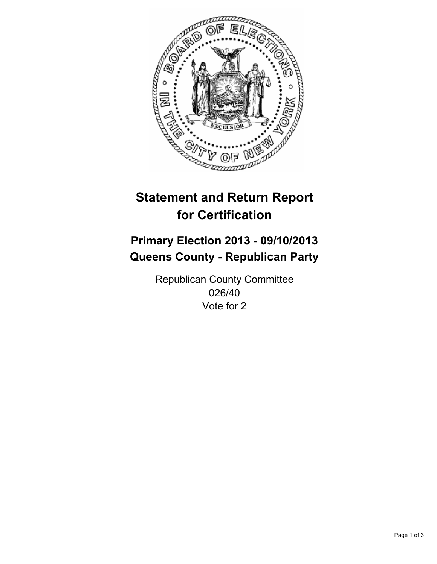

# **Statement and Return Report for Certification**

# **Primary Election 2013 - 09/10/2013 Queens County - Republican Party**

Republican County Committee 026/40 Vote for 2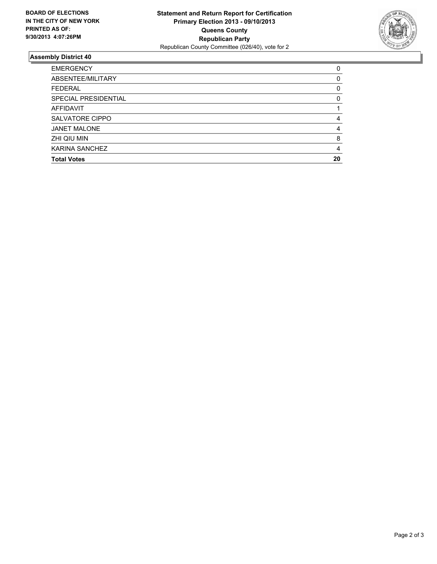

## **Assembly District 40**

| <b>EMERGENCY</b>       | 0  |
|------------------------|----|
| ABSENTEE/MILITARY      | 0  |
| <b>FEDERAL</b>         | 0  |
| SPECIAL PRESIDENTIAL   | 0  |
| AFFIDAVIT              |    |
| <b>SALVATORE CIPPO</b> | 4  |
| <b>JANET MALONE</b>    | 4  |
| ZHI QIU MIN            | 8  |
| KARINA SANCHEZ         | 4  |
| <b>Total Votes</b>     | 20 |